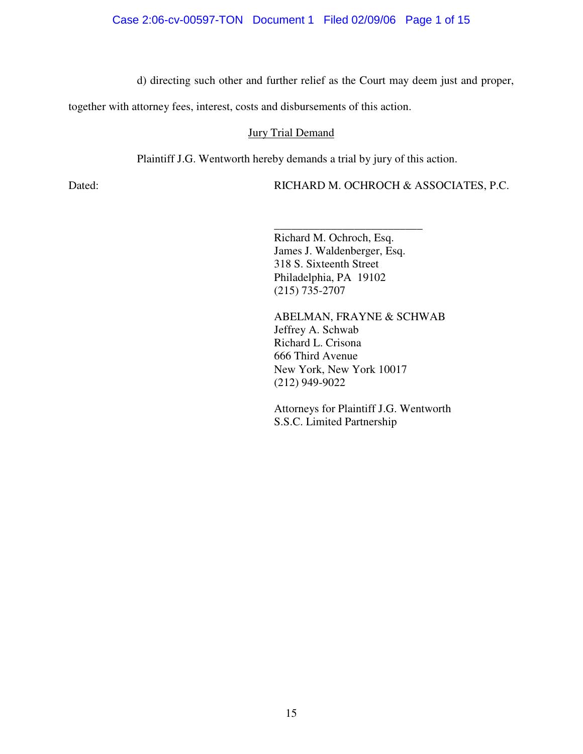d) directing such other and further relief as the Court may deem just and proper,

together with attorney fees, interest, costs and disbursements of this action.

### Jury Trial Demand

Plaintiff J.G. Wentworth hereby demands a trial by jury of this action.

Dated: RICHARD M. OCHROCH & ASSOCIATES, P.C.

Richard M. Ochroch, Esq. James J. Waldenberger, Esq. 318 S. Sixteenth Street Philadelphia, PA 19102 (215) 735-2707

\_\_\_\_\_\_\_\_\_\_\_\_\_\_\_\_\_\_\_\_\_\_\_\_\_\_

ABELMAN, FRAYNE & SCHWAB Jeffrey A. Schwab Richard L. Crisona 666 Third Avenue New York, New York 10017 (212) 949-9022

Attorneys for Plaintiff J.G. Wentworth S.S.C. Limited Partnership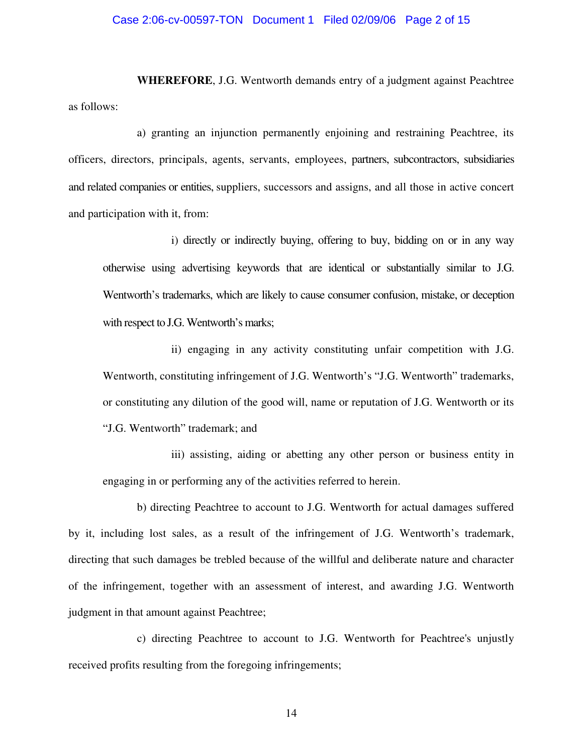#### Case 2:06-cv-00597-TON Document 1 Filed 02/09/06 Page 2 of 15

**WHEREFORE**, J.G. Wentworth demands entry of a judgment against Peachtree as follows:

a) granting an injunction permanently enjoining and restraining Peachtree, its officers, directors, principals, agents, servants, employees, partners, subcontractors, subsidiaries and related companies or entities, suppliers, successors and assigns, and all those in active concert and participation with it, from:

i) directly or indirectly buying, offering to buy, bidding on or in any way otherwise using advertising keywords that are identical or substantially similar to J.G. Wentworth's trademarks, which are likely to cause consumer confusion, mistake, or deception with respect to J.G. Wentworth's marks;

ii) engaging in any activity constituting unfair competition with J.G. Wentworth, constituting infringement of J.G. Wentworth's "J.G. Wentworth" trademarks, or constituting any dilution of the good will, name or reputation of J.G. Wentworth or its "J.G. Wentworth" trademark; and

iii) assisting, aiding or abetting any other person or business entity in engaging in or performing any of the activities referred to herein.

b) directing Peachtree to account to J.G. Wentworth for actual damages suffered by it, including lost sales, as a result of the infringement of J.G. Wentworth's trademark, directing that such damages be trebled because of the willful and deliberate nature and character of the infringement, together with an assessment of interest, and awarding J.G. Wentworth judgment in that amount against Peachtree;

c) directing Peachtree to account to J.G. Wentworth for Peachtree's unjustly received profits resulting from the foregoing infringements;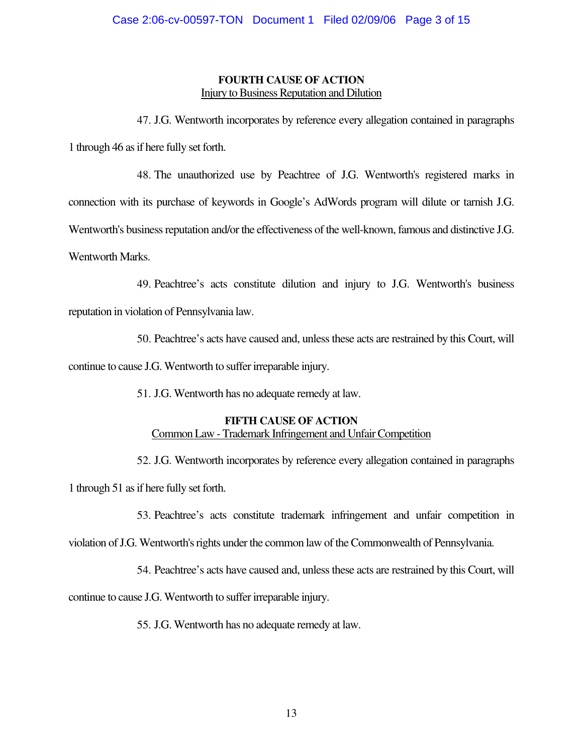# **FOURTH CAUSE OF ACTION Injury to Business Reputation and Dilution**

47. J.G. Wentworth incorporates by reference every allegation contained in paragraphs 1 through 46 as if here fully set forth.

48. The unauthorized use by Peachtree of J.G. Wentworth's registered marks in connection with its purchase of keywords in Google's AdWords program will dilute or tarnish J.G. Wentworth's business reputation and/or the effectiveness of the well-known, famous and distinctive J.G. Wentworth Marks.

49. Peachtree's acts constitute dilution and injury to J.G. Wentworth's business reputation in violation of Pennsylvania law.

50. Peachtree's acts have caused and, unlessthese acts are restrained by this Court, will continue to cause J.G. Wentworth to suffer irreparable injury.

51. J.G. Wentworth has no adequate remedy at law.

# **FIFTH CAUSE OF ACTION**

# Common Law - Trademark Infringement and Unfair Competition

52. J.G. Wentworth incorporates by reference every allegation contained in paragraphs

1 through 51 as if here fully set forth.

53. Peachtree's acts constitute trademark infringement and unfair competition in

violation of J.G. Wentworth's rights under the common law of the Commonwealth of Pennsylvania.

54. Peachtree's acts have caused and, unless these acts are restrained by this Court, will

continue to cause J.G. Wentworth to suffer irreparable injury.

55. J.G. Wentworth has no adequate remedy at law.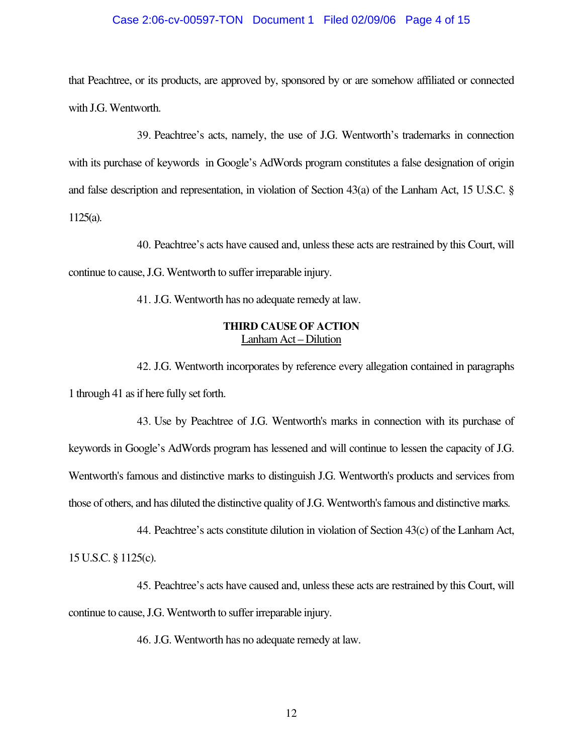#### Case 2:06-cv-00597-TON Document 1 Filed 02/09/06 Page 4 of 15

that Peachtree, or its products, are approved by, sponsored by or are somehow affiliated or connected with J.G. Wentworth.

39. Peachtree's acts, namely, the use of J.G. Wentworth's trademarks in connection with its purchase of keywords in Google's AdWords program constitutes a false designation of origin and false description and representation, in violation of Section 43(a) of the Lanham Act, 15 U.S.C. § 1125(a).

40. Peachtree's acts have caused and, unless these acts are restrained by this Court, will continue to cause, J.G. Wentworth to suffer irreparable injury.

41. J.G. Wentworth has no adequate remedy at law.

# **THIRD CAUSE OF ACTION** Lanham Act – Dilution

42. J.G. Wentworth incorporates by reference every allegation contained in paragraphs 1 through 41 as if here fully set forth.

43. Use by Peachtree of J.G. Wentworth's marks in connection with its purchase of keywords in Google's AdWords program has lessened and will continue to lessen the capacity of J.G. Wentworth's famous and distinctive marks to distinguish J.G. Wentworth's products and services from those of others, and has diluted the distinctive quality of J.G. Wentworth's famous and distinctive marks.

44. Peachtree's acts constitute dilution in violation of Section 43(c) of the Lanham Act, 15 U.S.C. § 1125(c).

45. Peachtree's acts have caused and, unlessthese acts are restrained by this Court, will continue to cause, J.G. Wentworth to suffer irreparable injury.

46. J.G. Wentworth has no adequate remedy at law.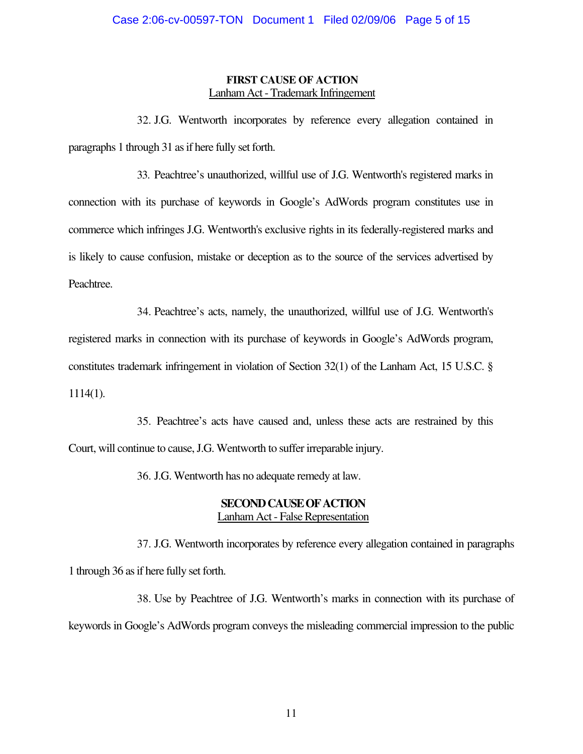# **FIRST CAUSE OF ACTION** Lanham Act- Trademark Infringement

32. J.G. Wentworth incorporates by reference every allegation contained in paragraphs 1 through 31 as if here fully set forth.

33. Peachtree's unauthorized, willful use of J.G. Wentworth's registered marks in connection with its purchase of keywords in Google's AdWords program constitutes use in commerce which infringes J.G. Wentworth's exclusive rights in its federally-registered marks and is likely to cause confusion, mistake or deception as to the source of the services advertised by Peachtree.

34. Peachtree's acts, namely, the unauthorized, willful use of J.G. Wentworth's registered marks in connection with its purchase of keywords in Google's AdWords program, constitutes trademark infringement in violation of Section 32(1) of the Lanham Act, 15 U.S.C. § 1114(1).

35. Peachtree's acts have caused and, unless these acts are restrained by this Court, will continue to cause, J.G. Wentworth to suffer irreparable injury.

36. J.G. Wentworth has no adequate remedy at law.

# **SECONDCAUSEOFACTION** Lanham Act - False Representation

37. J.G. Wentworth incorporates by reference every allegation contained in paragraphs 1 through 36 as if here fully set forth.

38. Use by Peachtree of J.G. Wentworth's marks in connection with its purchase of keywords in Google's AdWords program conveys the misleading commercial impression to the public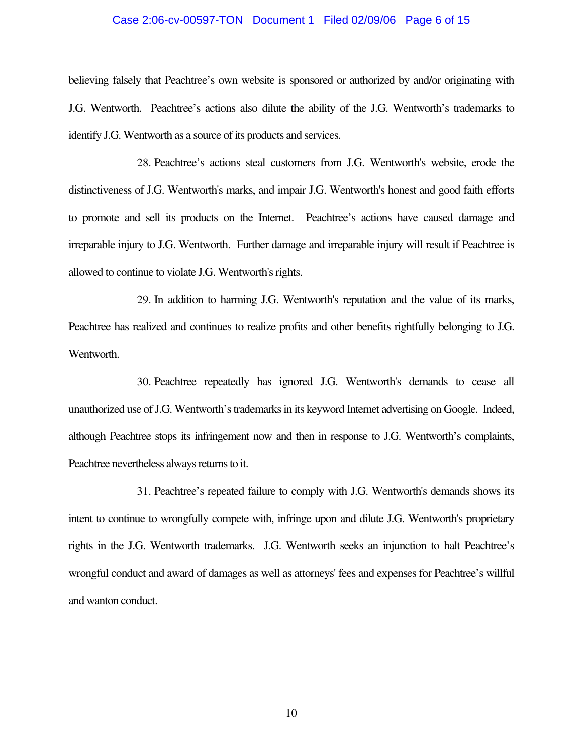#### Case 2:06-cv-00597-TON Document 1 Filed 02/09/06 Page 6 of 15

believing falsely that Peachtree's own website is sponsored or authorized by and/or originating with J.G. Wentworth. Peachtree's actions also dilute the ability of the J.G. Wentworth's trademarks to identify J.G. Wentworth as a source of its products and services.

28. Peachtree's actions steal customers from J.G. Wentworth's website, erode the distinctiveness of J.G. Wentworth's marks, and impair J.G. Wentworth's honest and good faith efforts to promote and sell its products on the Internet. Peachtree's actions have caused damage and irreparable injury to J.G. Wentworth. Further damage and irreparable injury will result if Peachtree is allowed to continue to violate J.G. Wentworth's rights.

29. In addition to harming J.G. Wentworth's reputation and the value of its marks, Peachtree has realized and continues to realize profits and other benefits rightfully belonging to J.G. Wentworth.

30. Peachtree repeatedly has ignored J.G. Wentworth's demands to cease all unauthorized use of J.G. Wentworth's trademarks in its keyword Internet advertising on Google. Indeed, although Peachtree stops its infringement now and then in response to J.G. Wentworth's complaints, Peachtree nevertheless always returns to it.

31. Peachtree's repeated failure to comply with J.G. Wentworth's demands shows its intent to continue to wrongfully compete with, infringe upon and dilute J.G. Wentworth's proprietary rights in the J.G. Wentworth trademarks. J.G. Wentworth seeks an injunction to halt Peachtree's wrongful conduct and award of damages as well as attorneys' fees and expenses for Peachtree's willful and wanton conduct.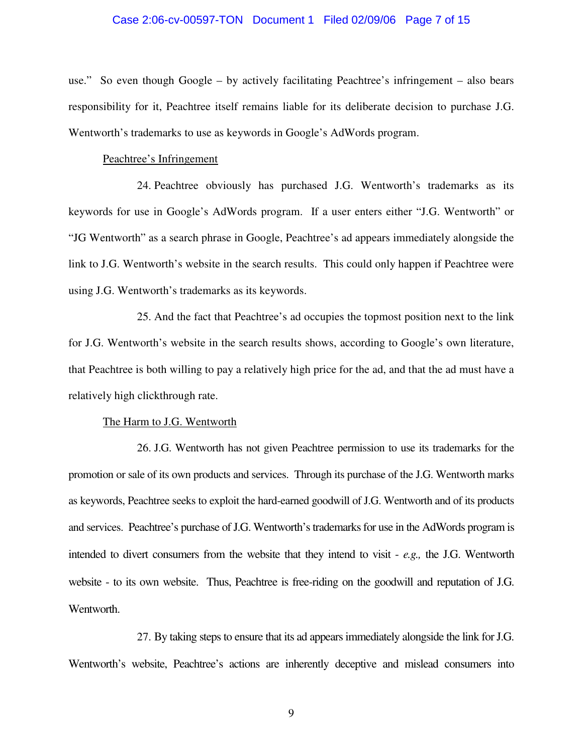#### Case 2:06-cv-00597-TON Document 1 Filed 02/09/06 Page 7 of 15

use." So even though Google – by actively facilitating Peachtree's infringement – also bears responsibility for it, Peachtree itself remains liable for its deliberate decision to purchase J.G. Wentworth's trademarks to use as keywords in Google's AdWords program.

#### Peachtree's Infringement

24. Peachtree obviously has purchased J.G. Wentworth's trademarks as its keywords for use in Google's AdWords program. If a user enters either "J.G. Wentworth" or "JG Wentworth" as a search phrase in Google, Peachtree's ad appears immediately alongside the link to J.G. Wentworth's website in the search results. This could only happen if Peachtree were using J.G. Wentworth's trademarks as its keywords.

25. And the fact that Peachtree's ad occupies the topmost position next to the link for J.G. Wentworth's website in the search results shows, according to Google's own literature, that Peachtree is both willing to pay a relatively high price for the ad, and that the ad must have a relatively high clickthrough rate.

#### The Harm to J.G. Wentworth

26. J.G. Wentworth has not given Peachtree permission to use its trademarks for the promotion or sale of its own products and services. Through its purchase of the J.G. Wentworth marks as keywords, Peachtree seeks to exploit the hard-earned goodwill of J.G. Wentworth and of its products and services. Peachtree's purchase of J.G. Wentworth's trademarks for use in the AdWords program is intended to divert consumers from the website that they intend to visit - *e.g.,* the J.G. Wentworth website - to its own website. Thus, Peachtree is free-riding on the goodwill and reputation of J.G. Wentworth.

27. By taking steps to ensure that its ad appears immediately alongside the link for J.G. Wentworth's website, Peachtree's actions are inherently deceptive and mislead consumers into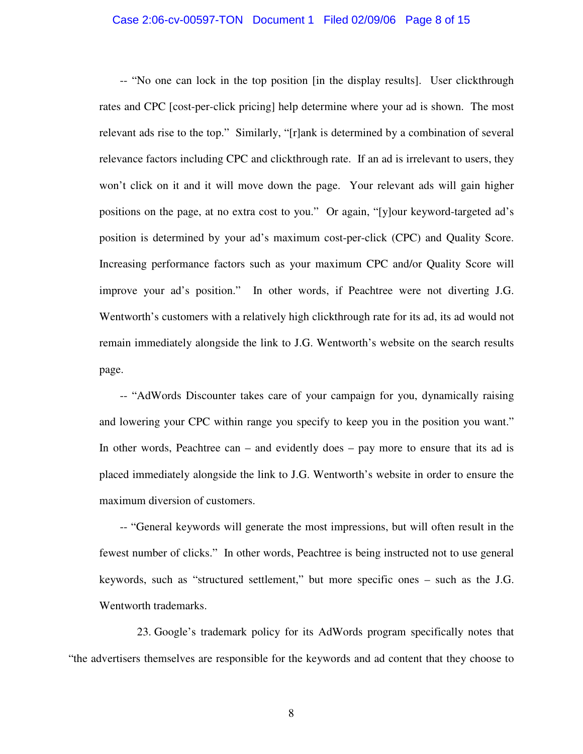#### Case 2:06-cv-00597-TON Document 1 Filed 02/09/06 Page 8 of 15

-- "No one can lock in the top position [in the display results]. User clickthrough rates and CPC [cost-per-click pricing] help determine where your ad is shown. The most relevant ads rise to the top." Similarly, "[r]ank is determined by a combination of several relevance factors including CPC and clickthrough rate. If an ad is irrelevant to users, they won't click on it and it will move down the page. Your relevant ads will gain higher positions on the page, at no extra cost to you." Or again, "[y]our keyword-targeted ad's position is determined by your ad's maximum cost-per-click (CPC) and Quality Score. Increasing performance factors such as your maximum CPC and/or Quality Score will improve your ad's position." In other words, if Peachtree were not diverting J.G. Wentworth's customers with a relatively high clickthrough rate for its ad, its ad would not remain immediately alongside the link to J.G. Wentworth's website on the search results page.

-- "AdWords Discounter takes care of your campaign for you, dynamically raising and lowering your CPC within range you specify to keep you in the position you want." In other words, Peachtree can – and evidently does – pay more to ensure that its ad is placed immediately alongside the link to J.G. Wentworth's website in order to ensure the maximum diversion of customers.

-- "General keywords will generate the most impressions, but will often result in the fewest number of clicks." In other words, Peachtree is being instructed not to use general keywords, such as "structured settlement," but more specific ones – such as the J.G. Wentworth trademarks.

23. Google's trademark policy for its AdWords program specifically notes that "the advertisers themselves are responsible for the keywords and ad content that they choose to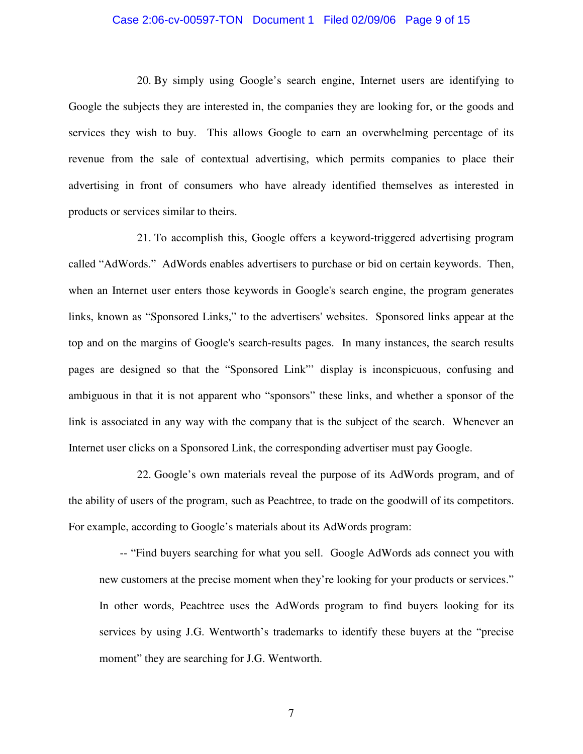#### Case 2:06-cv-00597-TON Document 1 Filed 02/09/06 Page 9 of 15

20. By simply using Google's search engine, Internet users are identifying to Google the subjects they are interested in, the companies they are looking for, or the goods and services they wish to buy. This allows Google to earn an overwhelming percentage of its revenue from the sale of contextual advertising, which permits companies to place their advertising in front of consumers who have already identified themselves as interested in products or services similar to theirs.

21. To accomplish this, Google offers a keyword-triggered advertising program called "AdWords." AdWords enables advertisers to purchase or bid on certain keywords. Then, when an Internet user enters those keywords in Google's search engine, the program generates links, known as "Sponsored Links," to the advertisers'websites. Sponsored links appear at the top and on the margins of Google's search-results pages. In many instances, the search results pages are designed so that the "Sponsored Link"' display is inconspicuous, confusing and ambiguous in that it is not apparent who "sponsors" these links, and whether a sponsor of the link is associated in any way with the company that is the subject of the search. Whenever an Internet user clicks on a Sponsored Link, the corresponding advertiser must pay Google.

22. Google's own materials reveal the purpose of its AdWords program, and of the ability of users of the program, such as Peachtree, to trade on the goodwill of its competitors. For example, according to Google's materials about its AdWords program:

-- "Find buyers searching for what you sell. Google AdWords ads connect you with new customers at the precise moment when they're looking for your products or services." In other words, Peachtree uses the AdWords program to find buyers looking for its services by using J.G. Wentworth's trademarks to identify these buyers at the "precise moment" they are searching for J.G. Wentworth.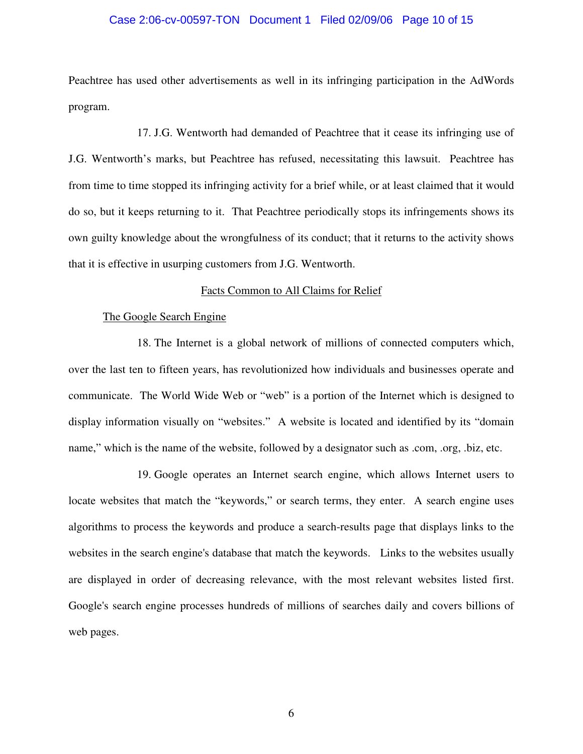#### Case 2:06-cv-00597-TON Document 1 Filed 02/09/06 Page 10 of 15

Peachtree has used other advertisements as well in its infringing participation in the AdWords program.

17. J.G. Wentworth had demanded of Peachtree that it cease its infringing use of J.G. Wentworth's marks, but Peachtree has refused, necessitating this lawsuit. Peachtree has from time to time stopped its infringing activity for a brief while, or at least claimed that it would do so, but it keeps returning to it. That Peachtree periodically stops its infringements shows its own guilty knowledge about the wrongfulness of its conduct; that it returns to the activity shows that it is effective in usurping customers from J.G. Wentworth.

#### Facts Common to All Claims for Relief

#### The Google Search Engine

18. The Internet is a global network of millions of connected computers which, over the last ten to fifteen years, has revolutionized how individuals and businesses operate and communicate. The World Wide Web or "web" is a portion of the Internet which is designed to display information visually on "websites." A website is located and identified by its "domain name," which is the name of the website, followed by a designator such as .com, .org, .biz, etc.

19. Google operates an Internet search engine, which allows Internet users to locate websites that match the "keywords," or search terms, they enter. A search engine uses algorithms to process the keywords and produce a search-results page that displays links to the websites in the search engine's database that match the keywords. Links to the websites usually are displayed in order of decreasing relevance, with the most relevant websites listed first. Google's search engine processes hundreds of millions of searches daily and covers billions of web pages.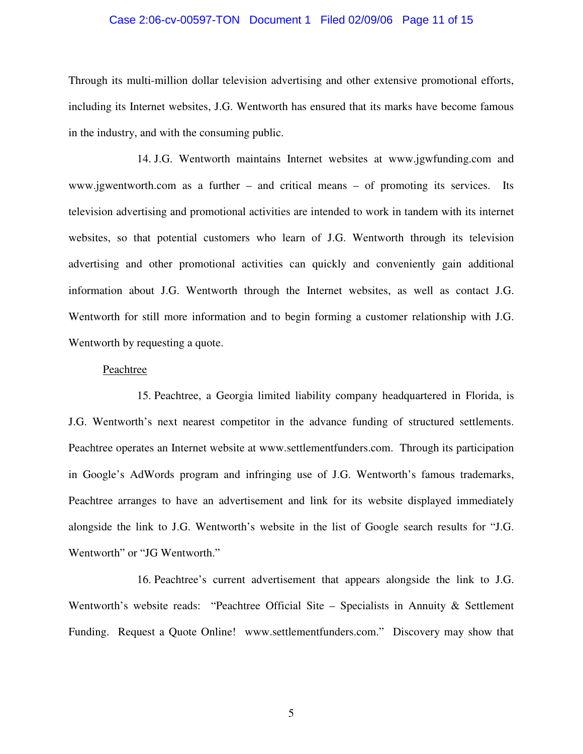#### Case 2:06-cv-00597-TON Document 1 Filed 02/09/06 Page 11 of 15

Through its multi-million dollar television advertising and other extensive promotional efforts, including its Internet websites, J.G. Wentworth has ensured that its marks have become famous in the industry, and with the consuming public.

14. J.G. Wentworth maintains Internet websites at www.jgwfunding.com and www.jgwentworth.com as a further – and critical means – of promoting its services. Its television advertising and promotional activities are intended to work in tandem with its internet websites, so that potential customers who learn of J.G. Wentworth through its television advertising and other promotional activities can quickly and conveniently gain additional information about J.G. Wentworth through the Internet websites, as well as contact J.G. Wentworth for still more information and to begin forming a customer relationship with J.G. Wentworth by requesting a quote.

#### Peachtree

15. Peachtree, a Georgia limited liability company headquartered in Florida, is J.G. Wentworth's next nearest competitor in the advance funding of structured settlements. Peachtree operates an Internet website at www.settlementfunders.com. Through its participation in Google's AdWords program and infringing use of J.G. Wentworth's famous trademarks, Peachtree arranges to have an advertisement and link for its website displayed immediately alongside the link to J.G. Wentworth's website in the list of Google search results for "J.G. Wentworth" or "JG Wentworth."

16. Peachtree's current advertisement that appears alongside the link to J.G. Wentworth's website reads: "Peachtree Official Site – Specialists in Annuity & Settlement Funding. Request a Quote Online! www.settlementfunders.com." Discovery may show that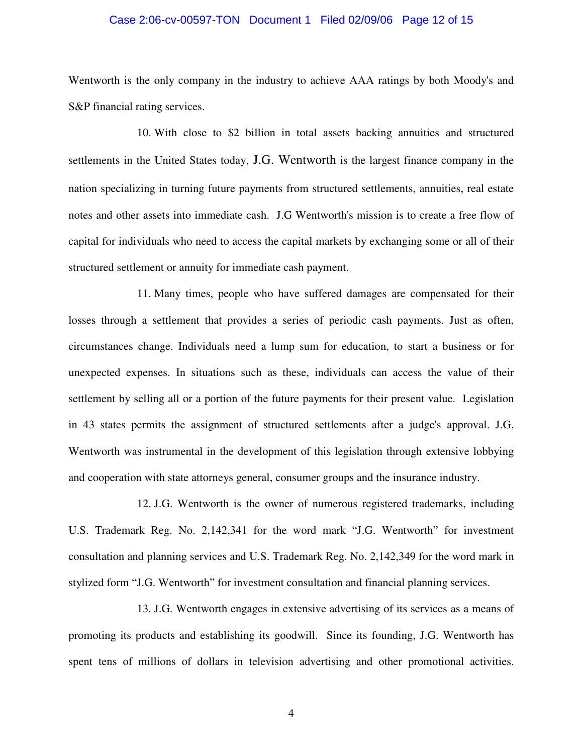#### Case 2:06-cv-00597-TON Document 1 Filed 02/09/06 Page 12 of 15

Wentworth is the only company in the industry to achieve AAA ratings by both Moody's and S&P financial rating services.

10. With close to \$2 billion in total assets backing annuities and structured settlements in the United States today, J.G. Wentworth is the largest finance company in the nation specializing in turning future payments from structured settlements, annuities, real estate notes and other assets into immediate cash. J.G Wentworth's mission is to create a free flow of capital for individuals who need to access the capital markets by exchanging some or all of their structured settlement or annuity for immediate cash payment.

11. Many times, people who have suffered damages are compensated for their losses through a settlement that provides a series of periodic cash payments. Just as often, circumstances change. Individuals need a lump sum for education, to start a business or for unexpected expenses. In situations such as these, individuals can access the value of their settlement by selling all or a portion of the future payments for their present value. Legislation in 43 states permits the assignment of structured settlements after a judge's approval. J.G. Wentworth was instrumental in the development of this legislation through extensive lobbying and cooperation with state attorneys general, consumer groups and the insurance industry.

12. J.G. Wentworth is the owner of numerous registered trademarks, including U.S. Trademark Reg. No. 2,142,341 for the word mark "J.G. Wentworth" for investment consultation and planning services and U.S. Trademark Reg. No. 2,142,349 for the word mark in stylized form "J.G. Wentworth" for investment consultation and financial planning services.

13. J.G. Wentworth engages in extensive advertising of its services as a means of promoting its products and establishing its goodwill. Since its founding, J.G. Wentworth has spent tens of millions of dollars in television advertising and other promotional activities.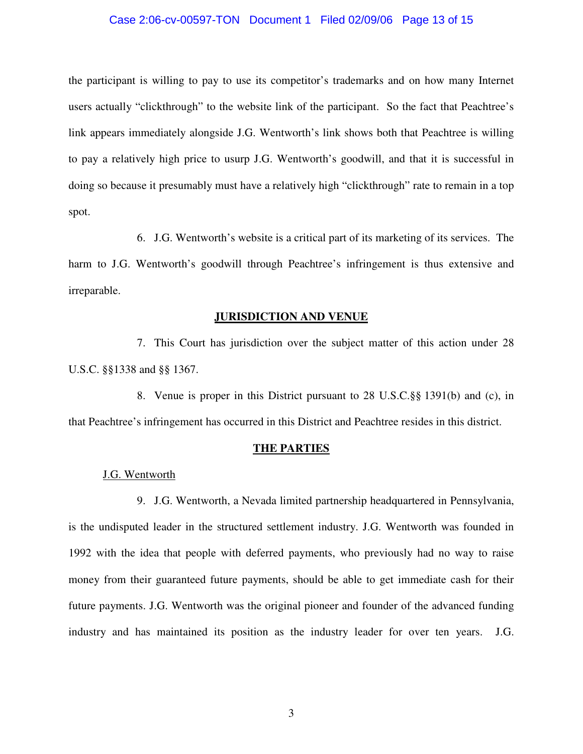#### Case 2:06-cv-00597-TON Document 1 Filed 02/09/06 Page 13 of 15

the participant is willing to pay to use its competitor's trademarks and on how many Internet users actually "clickthrough" to the website link of the participant. So the fact that Peachtree's link appears immediately alongside J.G. Wentworth's link shows both that Peachtree is willing to pay a relatively high price to usurp J.G. Wentworth's goodwill, and that it is successful in doing so because it presumably must have a relatively high "clickthrough" rate to remain in a top spot.

6. J.G. Wentworth's website is a critical part of its marketing of its services. The harm to J.G. Wentworth's goodwill through Peachtree's infringement is thus extensive and irreparable.

#### **JURISDICTION AND VENUE**

7. This Court has jurisdiction over the subject matter of this action under 28 U.S.C. §§1338 and §§ 1367.

8. Venue is proper in this District pursuant to 28 U.S.C.§§ 1391(b) and (c), in that Peachtree's infringement has occurred in this District and Peachtree resides in this district.

#### **THE PARTIES**

#### J.G. Wentworth

9. J.G. Wentworth, a Nevada limited partnership headquartered in Pennsylvania, is the undisputed leader in the structured settlement industry. J.G. Wentworth was founded in 1992 with the idea that people with deferred payments, who previously had no way to raise money from their guaranteed future payments, should be able to get immediate cash for their future payments. J.G. Wentworth was the original pioneer and founder of the advanced funding industry and has maintained its position as the industry leader for over ten years. J.G.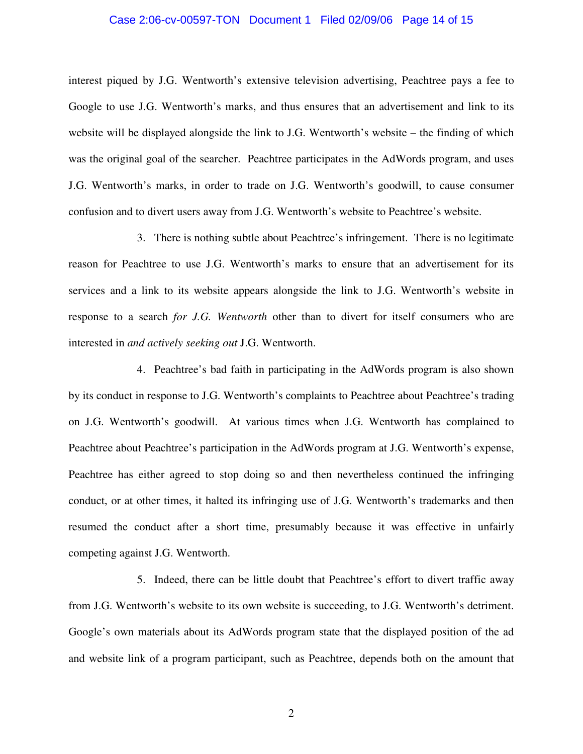#### Case 2:06-cv-00597-TON Document 1 Filed 02/09/06 Page 14 of 15

interest piqued by J.G. Wentworth's extensive television advertising, Peachtree pays a fee to Google to use J.G. Wentworth's marks, and thus ensures that an advertisement and link to its website will be displayed alongside the link to J.G. Wentworth's website – the finding of which was the original goal of the searcher. Peachtree participates in the AdWords program, and uses J.G. Wentworth's marks, in order to trade on J.G. Wentworth's goodwill, to cause consumer confusion and to divert users away from J.G. Wentworth's website to Peachtree's website.

3. There is nothing subtle about Peachtree's infringement. There is no legitimate reason for Peachtree to use J.G. Wentworth's marks to ensure that an advertisement for its services and a link to its website appears alongside the link to J.G. Wentworth's website in response to a search *for J.G. Wentworth* other than to divert for itself consumers who are interested in *and actively seeking out* J.G. Wentworth.

4. Peachtree's bad faith in participating in the AdWords program is also shown by its conduct in response to J.G. Wentworth's complaints to Peachtree about Peachtree's trading on J.G. Wentworth's goodwill. At various times when J.G. Wentworth has complained to Peachtree about Peachtree's participation in the AdWords program at J.G. Wentworth's expense, Peachtree has either agreed to stop doing so and then nevertheless continued the infringing conduct, or at other times, it halted its infringing use of J.G. Wentworth's trademarks and then resumed the conduct after a short time, presumably because it was effective in unfairly competing against J.G. Wentworth.

5. Indeed, there can be little doubt that Peachtree's effort to divert traffic away from J.G. Wentworth's website to its own website is succeeding, to J.G. Wentworth's detriment. Google's own materials about its AdWords program state that the displayed position of the ad and website link of a program participant, such as Peachtree, depends both on the amount that